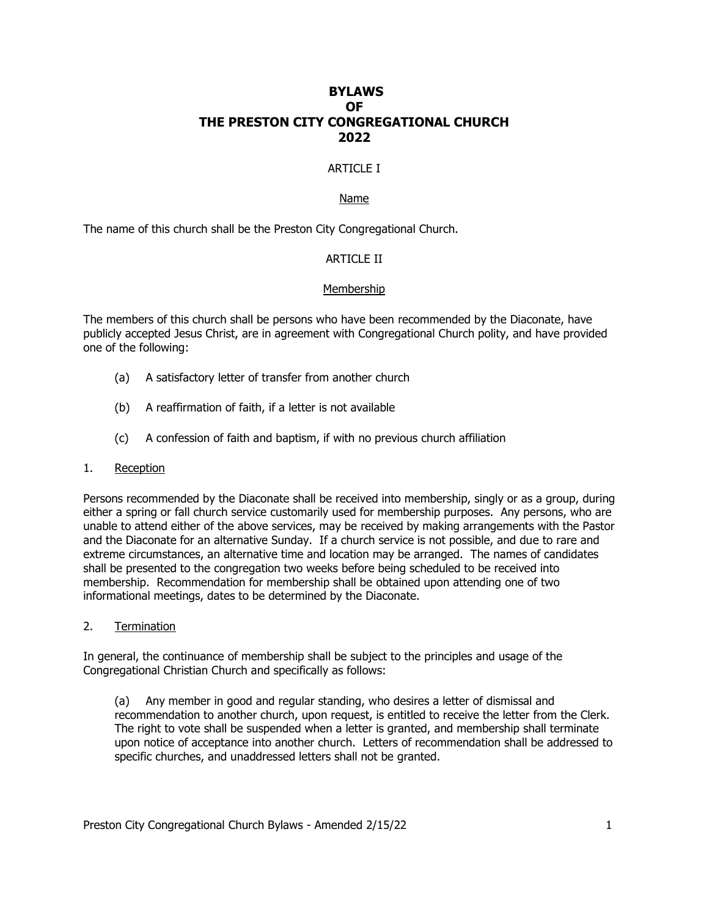# **BYLAWS OF THE PRESTON CITY CONGREGATIONAL CHURCH 2022**

# ARTICLE I

#### Name

The name of this church shall be the Preston City Congregational Church.

# ARTICLE II

### Membership

The members of this church shall be persons who have been recommended by the Diaconate, have publicly accepted Jesus Christ, are in agreement with Congregational Church polity, and have provided one of the following:

- (a) A satisfactory letter of transfer from another church
- (b) A reaffirmation of faith, if a letter is not available
- (c) A confession of faith and baptism, if with no previous church affiliation

#### 1. Reception

Persons recommended by the Diaconate shall be received into membership, singly or as a group, during either a spring or fall church service customarily used for membership purposes. Any persons, who are unable to attend either of the above services, may be received by making arrangements with the Pastor and the Diaconate for an alternative Sunday. If a church service is not possible, and due to rare and extreme circumstances, an alternative time and location may be arranged. The names of candidates shall be presented to the congregation two weeks before being scheduled to be received into membership. Recommendation for membership shall be obtained upon attending one of two informational meetings, dates to be determined by the Diaconate.

2. Termination

In general, the continuance of membership shall be subject to the principles and usage of the Congregational Christian Church and specifically as follows:

(a) Any member in good and regular standing, who desires a letter of dismissal and recommendation to another church, upon request, is entitled to receive the letter from the Clerk. The right to vote shall be suspended when a letter is granted, and membership shall terminate upon notice of acceptance into another church. Letters of recommendation shall be addressed to specific churches, and unaddressed letters shall not be granted.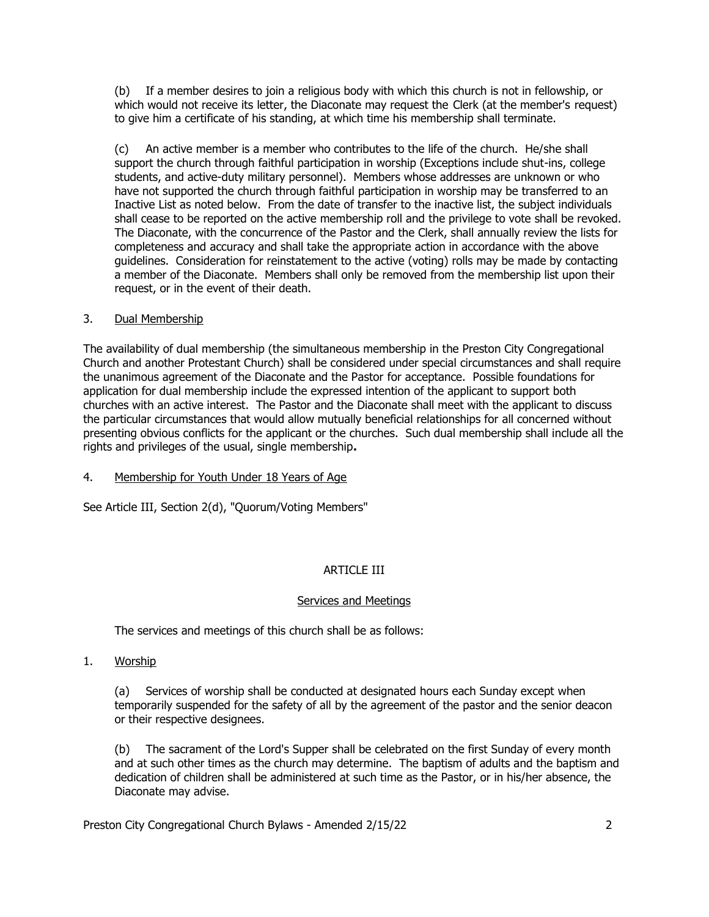(b) If a member desires to join a religious body with which this church is not in fellowship, or which would not receive its letter, the Diaconate may request the Clerk (at the member's request) to give him a certificate of his standing, at which time his membership shall terminate.

(c) An active member is a member who contributes to the life of the church. He/she shall support the church through faithful participation in worship (Exceptions include shut-ins, college students, and active-duty military personnel). Members whose addresses are unknown or who have not supported the church through faithful participation in worship may be transferred to an Inactive List as noted below. From the date of transfer to the inactive list, the subject individuals shall cease to be reported on the active membership roll and the privilege to vote shall be revoked. The Diaconate, with the concurrence of the Pastor and the Clerk, shall annually review the lists for completeness and accuracy and shall take the appropriate action in accordance with the above guidelines. Consideration for reinstatement to the active (voting) rolls may be made by contacting a member of the Diaconate. Members shall only be removed from the membership list upon their request, or in the event of their death.

# 3. Dual Membership

The availability of dual membership (the simultaneous membership in the Preston City Congregational Church and another Protestant Church) shall be considered under special circumstances and shall require the unanimous agreement of the Diaconate and the Pastor for acceptance. Possible foundations for application for dual membership include the expressed intention of the applicant to support both churches with an active interest. The Pastor and the Diaconate shall meet with the applicant to discuss the particular circumstances that would allow mutually beneficial relationships for all concerned without presenting obvious conflicts for the applicant or the churches. Such dual membership shall include all the rights and privileges of the usual, single membership**.**

# 4. Membership for Youth Under 18 Years of Age

See Article III, Section 2(d), "Quorum/Voting Members"

# ARTICLE III

# Services and Meetings

The services and meetings of this church shall be as follows:

1. Worship

(a) Services of worship shall be conducted at designated hours each Sunday except when temporarily suspended for the safety of all by the agreement of the pastor and the senior deacon or their respective designees.

(b) The sacrament of the Lord's Supper shall be celebrated on the first Sunday of every month and at such other times as the church may determine. The baptism of adults and the baptism and dedication of children shall be administered at such time as the Pastor, or in his/her absence, the Diaconate may advise.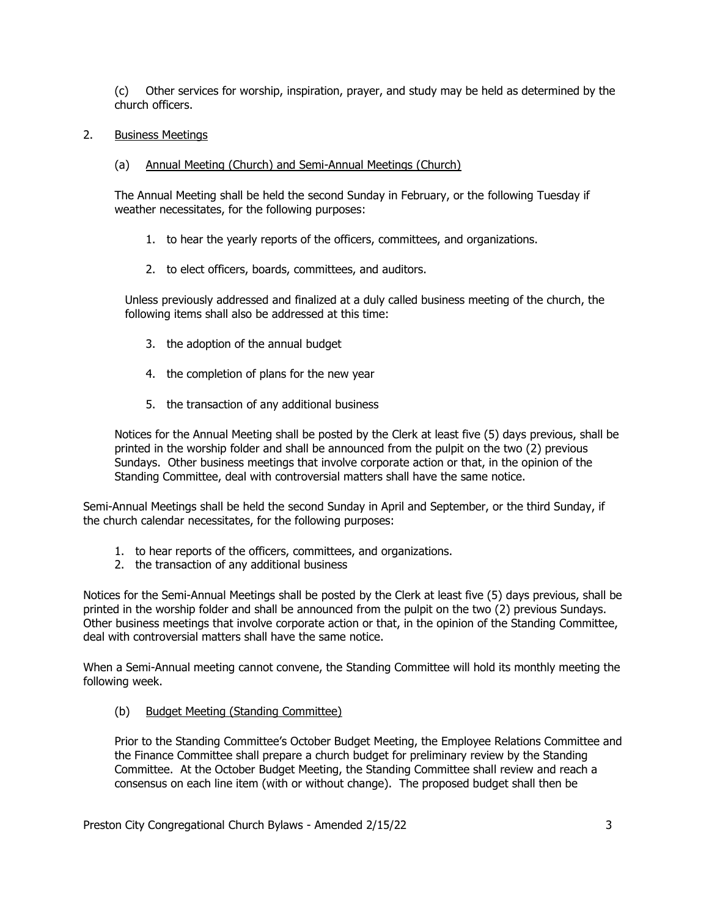(c) Other services for worship, inspiration, prayer, and study may be held as determined by the church officers.

2. Business Meetings

### (a) Annual Meeting (Church) and Semi-Annual Meetings (Church)

The Annual Meeting shall be held the second Sunday in February, or the following Tuesday if weather necessitates, for the following purposes:

- 1. to hear the yearly reports of the officers, committees, and organizations.
- 2. to elect officers, boards, committees, and auditors.

Unless previously addressed and finalized at a duly called business meeting of the church, the following items shall also be addressed at this time:

- 3. the adoption of the annual budget
- 4. the completion of plans for the new year
- 5. the transaction of any additional business

Notices for the Annual Meeting shall be posted by the Clerk at least five (5) days previous, shall be printed in the worship folder and shall be announced from the pulpit on the two (2) previous Sundays. Other business meetings that involve corporate action or that, in the opinion of the Standing Committee, deal with controversial matters shall have the same notice.

Semi-Annual Meetings shall be held the second Sunday in April and September, or the third Sunday, if the church calendar necessitates, for the following purposes:

- 1. to hear reports of the officers, committees, and organizations.
- 2. the transaction of any additional business

Notices for the Semi-Annual Meetings shall be posted by the Clerk at least five (5) days previous, shall be printed in the worship folder and shall be announced from the pulpit on the two (2) previous Sundays. Other business meetings that involve corporate action or that, in the opinion of the Standing Committee, deal with controversial matters shall have the same notice.

When a Semi-Annual meeting cannot convene, the Standing Committee will hold its monthly meeting the following week.

(b) Budget Meeting (Standing Committee)

Prior to the Standing Committee's October Budget Meeting, the Employee Relations Committee and the Finance Committee shall prepare a church budget for preliminary review by the Standing Committee. At the October Budget Meeting, the Standing Committee shall review and reach a consensus on each line item (with or without change). The proposed budget shall then be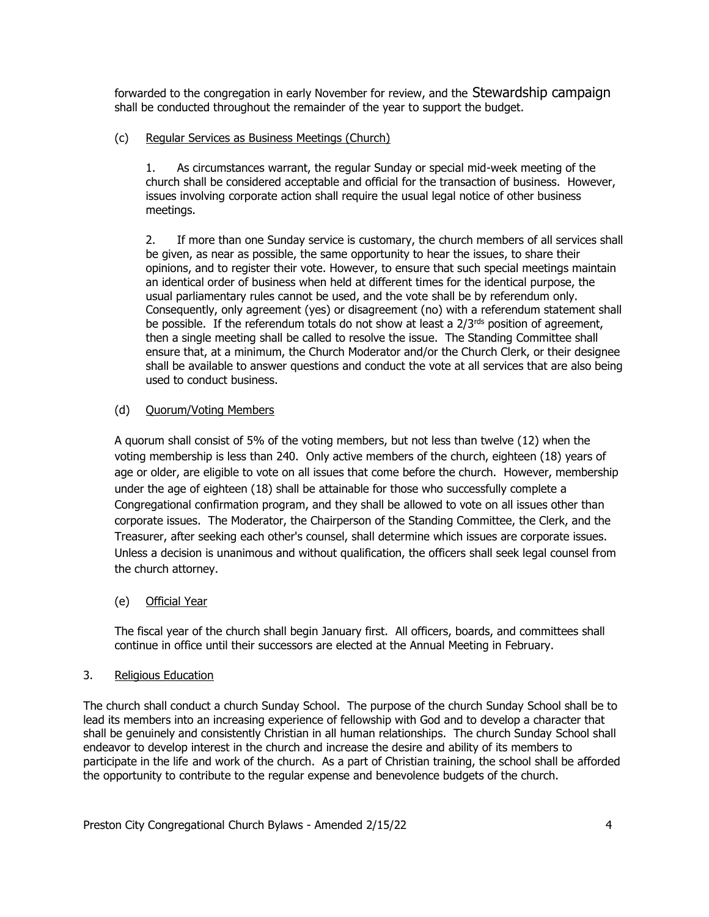forwarded to the congregation in early November for review, and the Stewardship campaign shall be conducted throughout the remainder of the year to support the budget.

# (c) Regular Services as Business Meetings (Church)

1. As circumstances warrant, the regular Sunday or special mid-week meeting of the church shall be considered acceptable and official for the transaction of business. However, issues involving corporate action shall require the usual legal notice of other business meetings.

2. If more than one Sunday service is customary, the church members of all services shall be given, as near as possible, the same opportunity to hear the issues, to share their opinions, and to register their vote. However, to ensure that such special meetings maintain an identical order of business when held at different times for the identical purpose, the usual parliamentary rules cannot be used, and the vote shall be by referendum only. Consequently, only agreement (yes) or disagreement (no) with a referendum statement shall be possible. If the referendum totals do not show at least a  $2/3^{rds}$  position of agreement, then a single meeting shall be called to resolve the issue. The Standing Committee shall ensure that, at a minimum, the Church Moderator and/or the Church Clerk, or their designee shall be available to answer questions and conduct the vote at all services that are also being used to conduct business.

# (d) Ouorum/Voting Members

A quorum shall consist of 5% of the voting members, but not less than twelve (12) when the voting membership is less than 240. Only active members of the church, eighteen (18) years of age or older, are eligible to vote on all issues that come before the church. However, membership under the age of eighteen (18) shall be attainable for those who successfully complete a Congregational confirmation program, and they shall be allowed to vote on all issues other than corporate issues. The Moderator, the Chairperson of the Standing Committee, the Clerk, and the Treasurer, after seeking each other's counsel, shall determine which issues are corporate issues. Unless a decision is unanimous and without qualification, the officers shall seek legal counsel from the church attorney.

# (e) Official Year

The fiscal year of the church shall begin January first. All officers, boards, and committees shall continue in office until their successors are elected at the Annual Meeting in February.

# 3. Religious Education

The church shall conduct a church Sunday School. The purpose of the church Sunday School shall be to lead its members into an increasing experience of fellowship with God and to develop a character that shall be genuinely and consistently Christian in all human relationships. The church Sunday School shall endeavor to develop interest in the church and increase the desire and ability of its members to participate in the life and work of the church. As a part of Christian training, the school shall be afforded the opportunity to contribute to the regular expense and benevolence budgets of the church.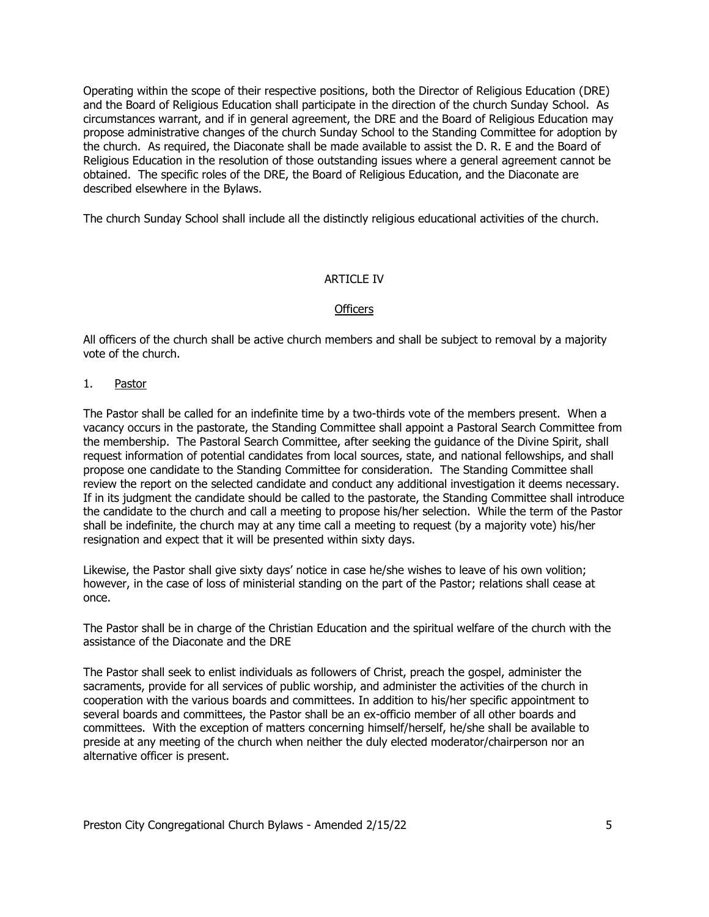Operating within the scope of their respective positions, both the Director of Religious Education (DRE) and the Board of Religious Education shall participate in the direction of the church Sunday School. As circumstances warrant, and if in general agreement, the DRE and the Board of Religious Education may propose administrative changes of the church Sunday School to the Standing Committee for adoption by the church. As required, the Diaconate shall be made available to assist the D. R. E and the Board of Religious Education in the resolution of those outstanding issues where a general agreement cannot be obtained. The specific roles of the DRE, the Board of Religious Education, and the Diaconate are described elsewhere in the Bylaws.

The church Sunday School shall include all the distinctly religious educational activities of the church.

# **ARTICLE IV**

### **Officers**

All officers of the church shall be active church members and shall be subject to removal by a majority vote of the church.

1. Pastor

The Pastor shall be called for an indefinite time by a two-thirds vote of the members present. When a vacancy occurs in the pastorate, the Standing Committee shall appoint a Pastoral Search Committee from the membership. The Pastoral Search Committee, after seeking the guidance of the Divine Spirit, shall request information of potential candidates from local sources, state, and national fellowships, and shall propose one candidate to the Standing Committee for consideration. The Standing Committee shall review the report on the selected candidate and conduct any additional investigation it deems necessary. If in its judgment the candidate should be called to the pastorate, the Standing Committee shall introduce the candidate to the church and call a meeting to propose his/her selection. While the term of the Pastor shall be indefinite, the church may at any time call a meeting to request (by a majority vote) his/her resignation and expect that it will be presented within sixty days.

Likewise, the Pastor shall give sixty days' notice in case he/she wishes to leave of his own volition; however, in the case of loss of ministerial standing on the part of the Pastor; relations shall cease at once.

The Pastor shall be in charge of the Christian Education and the spiritual welfare of the church with the assistance of the Diaconate and the DRE

The Pastor shall seek to enlist individuals as followers of Christ, preach the gospel, administer the sacraments, provide for all services of public worship, and administer the activities of the church in cooperation with the various boards and committees. In addition to his/her specific appointment to several boards and committees, the Pastor shall be an ex-officio member of all other boards and committees. With the exception of matters concerning himself/herself, he/she shall be available to preside at any meeting of the church when neither the duly elected moderator/chairperson nor an alternative officer is present.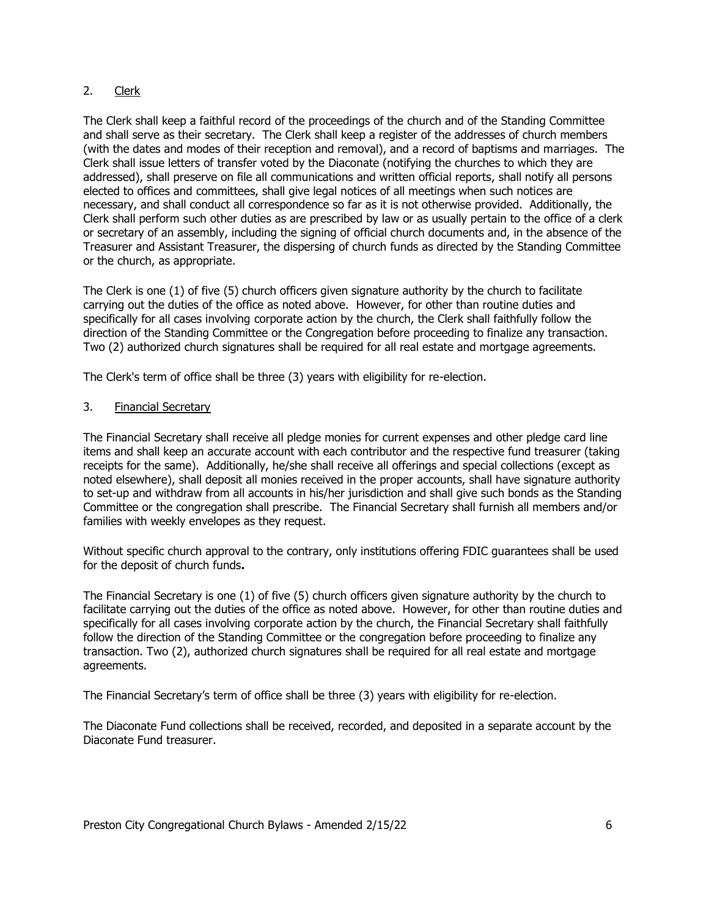# 2. Clerk

The Clerk shall keep a faithful record of the proceedings of the church and of the Standing Committee and shall serve as their secretary. The Clerk shall keep a register of the addresses of church members (with the dates and modes of their reception and removal), and a record of baptisms and marriages. The Clerk shall issue letters of transfer voted by the Diaconate (notifying the churches to which they are addressed), shall preserve on file all communications and written official reports, shall notify all persons elected to offices and committees, shall give legal notices of all meetings when such notices are necessary, and shall conduct all correspondence so far as it is not otherwise provided. Additionally, the Clerk shall perform such other duties as are prescribed by law or as usually pertain to the office of a clerk or secretary of an assembly, including the signing of official church documents and, in the absence of the Treasurer and Assistant Treasurer, the dispersing of church funds as directed by the Standing Committee or the church, as appropriate.

The Clerk is one (1) of five (5) church officers given signature authority by the church to facilitate carrying out the duties of the office as noted above. However, for other than routine duties and specifically for all cases involving corporate action by the church, the Clerk shall faithfully follow the direction of the Standing Committee or the Congregation before proceeding to finalize any transaction. Two (2) authorized church signatures shall be required for all real estate and mortgage agreements.

The Clerk's term of office shall be three (3) years with eligibility for re-election.

# 3. Financial Secretary

The Financial Secretary shall receive all pledge monies for current expenses and other pledge card line items and shall keep an accurate account with each contributor and the respective fund treasurer (taking receipts for the same). Additionally, he/she shall receive all offerings and special collections (except as noted elsewhere), shall deposit all monies received in the proper accounts, shall have signature authority to set-up and withdraw from all accounts in his/her jurisdiction and shall give such bonds as the Standing Committee or the congregation shall prescribe. The Financial Secretary shall furnish all members and/or families with weekly envelopes as they request.

Without specific church approval to the contrary, only institutions offering FDIC guarantees shall be used for the deposit of church funds**.**

The Financial Secretary is one (1) of five (5) church officers given signature authority by the church to facilitate carrying out the duties of the office as noted above. However, for other than routine duties and specifically for all cases involving corporate action by the church, the Financial Secretary shall faithfully follow the direction of the Standing Committee or the congregation before proceeding to finalize any transaction. Two (2), authorized church signatures shall be required for all real estate and mortgage agreements.

The Financial Secretary's term of office shall be three (3) years with eligibility for re-election.

The Diaconate Fund collections shall be received, recorded, and deposited in a separate account by the Diaconate Fund treasurer.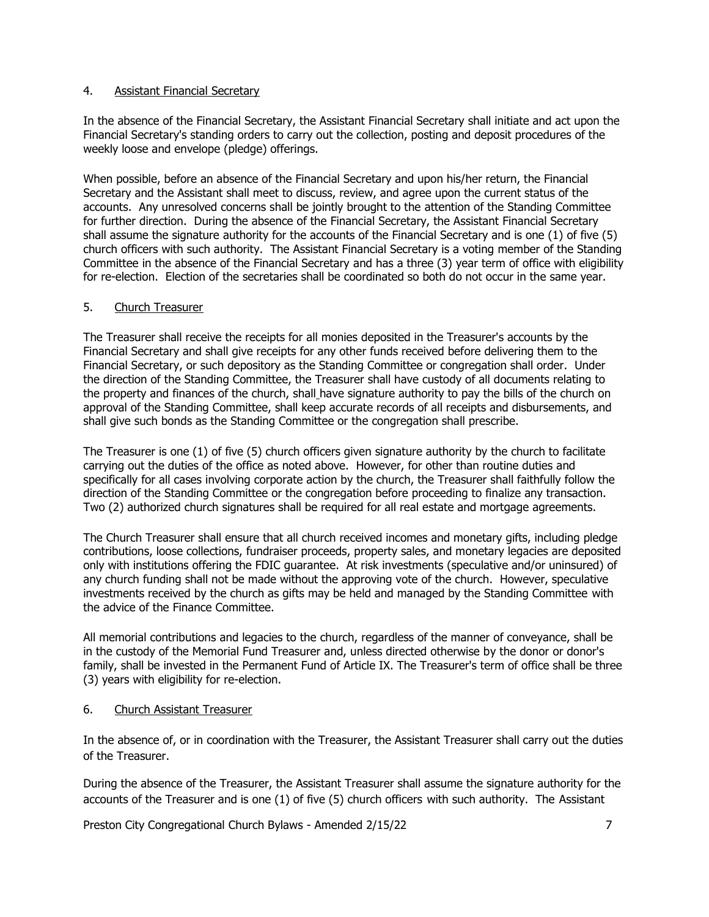### 4. Assistant Financial Secretary

In the absence of the Financial Secretary, the Assistant Financial Secretary shall initiate and act upon the Financial Secretary's standing orders to carry out the collection, posting and deposit procedures of the weekly loose and envelope (pledge) offerings.

When possible, before an absence of the Financial Secretary and upon his/her return, the Financial Secretary and the Assistant shall meet to discuss, review, and agree upon the current status of the accounts. Any unresolved concerns shall be jointly brought to the attention of the Standing Committee for further direction. During the absence of the Financial Secretary, the Assistant Financial Secretary shall assume the signature authority for the accounts of the Financial Secretary and is one (1) of five (5) church officers with such authority. The Assistant Financial Secretary is a voting member of the Standing Committee in the absence of the Financial Secretary and has a three (3) year term of office with eligibility for re-election. Election of the secretaries shall be coordinated so both do not occur in the same year.

# 5. Church Treasurer

The Treasurer shall receive the receipts for all monies deposited in the Treasurer's accounts by the Financial Secretary and shall give receipts for any other funds received before delivering them to the Financial Secretary, or such depository as the Standing Committee or congregation shall order. Under the direction of the Standing Committee, the Treasurer shall have custody of all documents relating to the property and finances of the church, shall have signature authority to pay the bills of the church on approval of the Standing Committee, shall keep accurate records of all receipts and disbursements, and shall give such bonds as the Standing Committee or the congregation shall prescribe.

The Treasurer is one (1) of five (5) church officers given signature authority by the church to facilitate carrying out the duties of the office as noted above. However, for other than routine duties and specifically for all cases involving corporate action by the church, the Treasurer shall faithfully follow the direction of the Standing Committee or the congregation before proceeding to finalize any transaction. Two (2) authorized church signatures shall be required for all real estate and mortgage agreements.

The Church Treasurer shall ensure that all church received incomes and monetary gifts, including pledge contributions, loose collections, fundraiser proceeds, property sales, and monetary legacies are deposited only with institutions offering the FDIC guarantee. At risk investments (speculative and/or uninsured) of any church funding shall not be made without the approving vote of the church. However, speculative investments received by the church as gifts may be held and managed by the Standing Committee with the advice of the Finance Committee.

All memorial contributions and legacies to the church, regardless of the manner of conveyance, shall be in the custody of the Memorial Fund Treasurer and, unless directed otherwise by the donor or donor's family, shall be invested in the Permanent Fund of Article IX. The Treasurer's term of office shall be three (3) years with eligibility for re-election.

6. Church Assistant Treasurer

In the absence of, or in coordination with the Treasurer, the Assistant Treasurer shall carry out the duties of the Treasurer.

During the absence of the Treasurer, the Assistant Treasurer shall assume the signature authority for the accounts of the Treasurer and is one (1) of five (5) church officers with such authority. The Assistant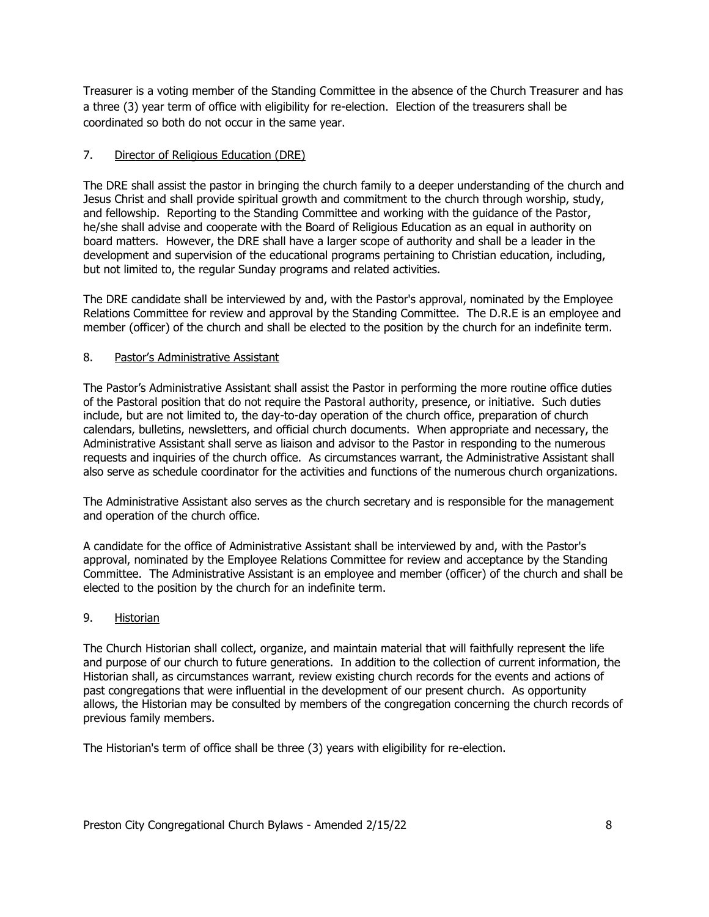Treasurer is a voting member of the Standing Committee in the absence of the Church Treasurer and has a three (3) year term of office with eligibility for re-election. Election of the treasurers shall be coordinated so both do not occur in the same year.

# 7. Director of Religious Education (DRE)

The DRE shall assist the pastor in bringing the church family to a deeper understanding of the church and Jesus Christ and shall provide spiritual growth and commitment to the church through worship, study, and fellowship. Reporting to the Standing Committee and working with the guidance of the Pastor, he/she shall advise and cooperate with the Board of Religious Education as an equal in authority on board matters. However, the DRE shall have a larger scope of authority and shall be a leader in the development and supervision of the educational programs pertaining to Christian education, including, but not limited to, the regular Sunday programs and related activities.

The DRE candidate shall be interviewed by and, with the Pastor's approval, nominated by the Employee Relations Committee for review and approval by the Standing Committee. The D.R.E is an employee and member (officer) of the church and shall be elected to the position by the church for an indefinite term.

# 8. Pastor's Administrative Assistant

The Pastor's Administrative Assistant shall assist the Pastor in performing the more routine office duties of the Pastoral position that do not require the Pastoral authority, presence, or initiative. Such duties include, but are not limited to, the day-to-day operation of the church office, preparation of church calendars, bulletins, newsletters, and official church documents. When appropriate and necessary, the Administrative Assistant shall serve as liaison and advisor to the Pastor in responding to the numerous requests and inquiries of the church office. As circumstances warrant, the Administrative Assistant shall also serve as schedule coordinator for the activities and functions of the numerous church organizations.

The Administrative Assistant also serves as the church secretary and is responsible for the management and operation of the church office.

A candidate for the office of Administrative Assistant shall be interviewed by and, with the Pastor's approval, nominated by the Employee Relations Committee for review and acceptance by the Standing Committee. The Administrative Assistant is an employee and member (officer) of the church and shall be elected to the position by the church for an indefinite term.

# 9. Historian

The Church Historian shall collect, organize, and maintain material that will faithfully represent the life and purpose of our church to future generations. In addition to the collection of current information, the Historian shall, as circumstances warrant, review existing church records for the events and actions of past congregations that were influential in the development of our present church. As opportunity allows, the Historian may be consulted by members of the congregation concerning the church records of previous family members.

The Historian's term of office shall be three (3) years with eligibility for re-election.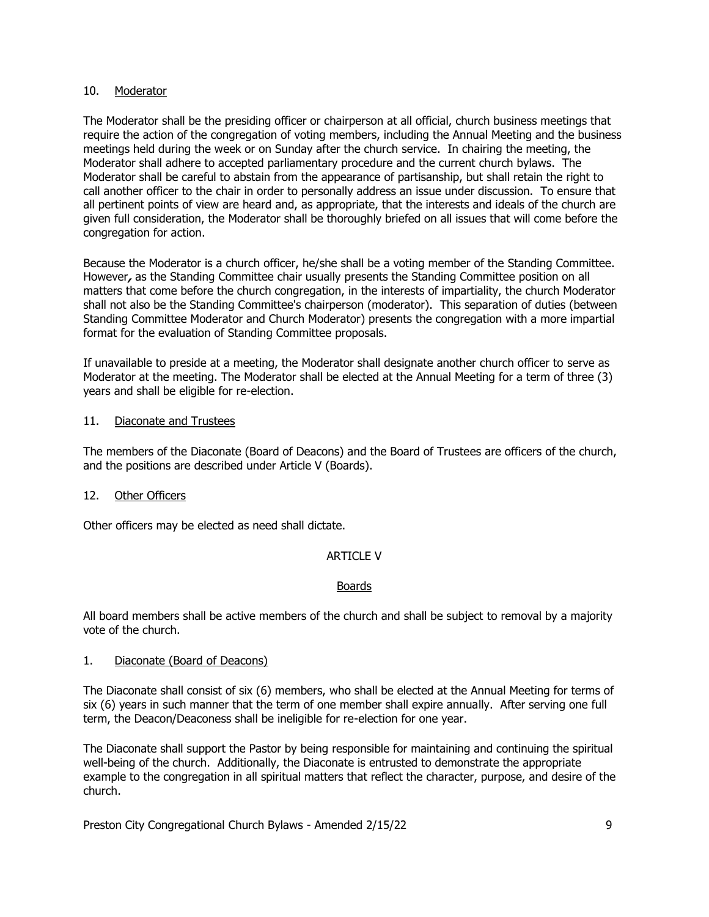### 10. Moderator

The Moderator shall be the presiding officer or chairperson at all official, church business meetings that require the action of the congregation of voting members, including the Annual Meeting and the business meetings held during the week or on Sunday after the church service. In chairing the meeting, the Moderator shall adhere to accepted parliamentary procedure and the current church bylaws. The Moderator shall be careful to abstain from the appearance of partisanship, but shall retain the right to call another officer to the chair in order to personally address an issue under discussion. To ensure that all pertinent points of view are heard and, as appropriate, that the interests and ideals of the church are given full consideration, the Moderator shall be thoroughly briefed on all issues that will come before the congregation for action.

Because the Moderator is a church officer, he/she shall be a voting member of the Standing Committee. However**,** as the Standing Committee chair usually presents the Standing Committee position on all matters that come before the church congregation, in the interests of impartiality, the church Moderator shall not also be the Standing Committee's chairperson (moderator). This separation of duties (between Standing Committee Moderator and Church Moderator) presents the congregation with a more impartial format for the evaluation of Standing Committee proposals.

If unavailable to preside at a meeting, the Moderator shall designate another church officer to serve as Moderator at the meeting. The Moderator shall be elected at the Annual Meeting for a term of three (3) years and shall be eligible for re-election.

### 11. Diaconate and Trustees

The members of the Diaconate (Board of Deacons) and the Board of Trustees are officers of the church, and the positions are described under Article V (Boards).

#### 12. Other Officers

Other officers may be elected as need shall dictate.

# ARTICLE V

#### Boards

All board members shall be active members of the church and shall be subject to removal by a majority vote of the church.

#### 1. Diaconate (Board of Deacons)

The Diaconate shall consist of six (6) members, who shall be elected at the Annual Meeting for terms of six (6) years in such manner that the term of one member shall expire annually. After serving one full term, the Deacon/Deaconess shall be ineligible for re-election for one year.

The Diaconate shall support the Pastor by being responsible for maintaining and continuing the spiritual well-being of the church. Additionally, the Diaconate is entrusted to demonstrate the appropriate example to the congregation in all spiritual matters that reflect the character, purpose, and desire of the church.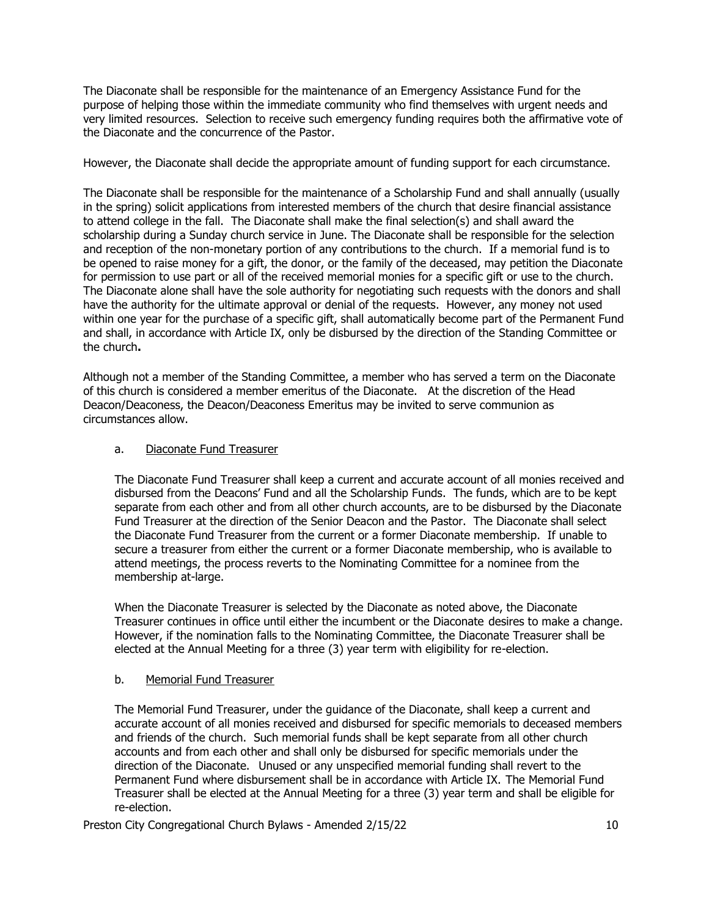The Diaconate shall be responsible for the maintenance of an Emergency Assistance Fund for the purpose of helping those within the immediate community who find themselves with urgent needs and very limited resources. Selection to receive such emergency funding requires both the affirmative vote of the Diaconate and the concurrence of the Pastor.

However, the Diaconate shall decide the appropriate amount of funding support for each circumstance.

The Diaconate shall be responsible for the maintenance of a Scholarship Fund and shall annually (usually in the spring) solicit applications from interested members of the church that desire financial assistance to attend college in the fall. The Diaconate shall make the final selection(s) and shall award the scholarship during a Sunday church service in June. The Diaconate shall be responsible for the selection and reception of the non-monetary portion of any contributions to the church. If a memorial fund is to be opened to raise money for a gift, the donor, or the family of the deceased, may petition the Diaconate for permission to use part or all of the received memorial monies for a specific gift or use to the church. The Diaconate alone shall have the sole authority for negotiating such requests with the donors and shall have the authority for the ultimate approval or denial of the requests. However, any money not used within one year for the purchase of a specific gift, shall automatically become part of the Permanent Fund and shall, in accordance with Article IX, only be disbursed by the direction of the Standing Committee or the church**.**

Although not a member of the Standing Committee, a member who has served a term on the Diaconate of this church is considered a member emeritus of the Diaconate. At the discretion of the Head Deacon/Deaconess, the Deacon/Deaconess Emeritus may be invited to serve communion as circumstances allow.

### a. Diaconate Fund Treasurer

The Diaconate Fund Treasurer shall keep a current and accurate account of all monies received and disbursed from the Deacons' Fund and all the Scholarship Funds. The funds, which are to be kept separate from each other and from all other church accounts, are to be disbursed by the Diaconate Fund Treasurer at the direction of the Senior Deacon and the Pastor. The Diaconate shall select the Diaconate Fund Treasurer from the current or a former Diaconate membership. If unable to secure a treasurer from either the current or a former Diaconate membership, who is available to attend meetings, the process reverts to the Nominating Committee for a nominee from the membership at-large.

When the Diaconate Treasurer is selected by the Diaconate as noted above, the Diaconate Treasurer continues in office until either the incumbent or the Diaconate desires to make a change. However, if the nomination falls to the Nominating Committee, the Diaconate Treasurer shall be elected at the Annual Meeting for a three (3) year term with eligibility for re-election.

# b. Memorial Fund Treasurer

The Memorial Fund Treasurer, under the guidance of the Diaconate, shall keep a current and accurate account of all monies received and disbursed for specific memorials to deceased members and friends of the church. Such memorial funds shall be kept separate from all other church accounts and from each other and shall only be disbursed for specific memorials under the direction of the Diaconate. Unused or any unspecified memorial funding shall revert to the Permanent Fund where disbursement shall be in accordance with Article IX. The Memorial Fund Treasurer shall be elected at the Annual Meeting for a three (3) year term and shall be eligible for re-election.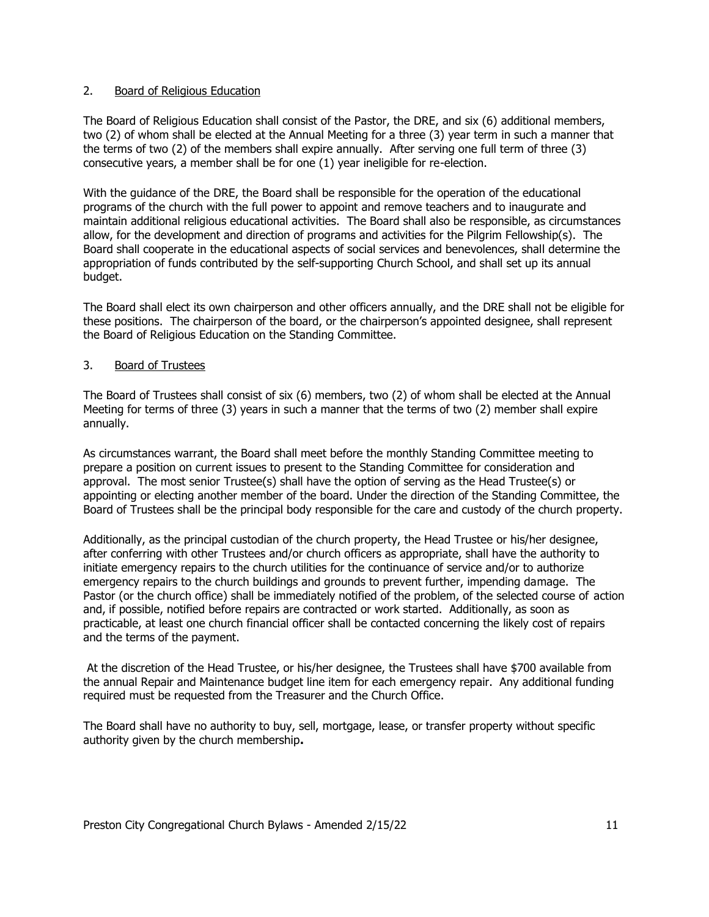### 2. Board of Religious Education

The Board of Religious Education shall consist of the Pastor, the DRE, and six (6) additional members, two (2) of whom shall be elected at the Annual Meeting for a three (3) year term in such a manner that the terms of two (2) of the members shall expire annually. After serving one full term of three (3) consecutive years, a member shall be for one (1) year ineligible for re-election.

With the guidance of the DRE, the Board shall be responsible for the operation of the educational programs of the church with the full power to appoint and remove teachers and to inaugurate and maintain additional religious educational activities. The Board shall also be responsible, as circumstances allow, for the development and direction of programs and activities for the Pilgrim Fellowship(s). The Board shall cooperate in the educational aspects of social services and benevolences, shall determine the appropriation of funds contributed by the self-supporting Church School, and shall set up its annual budget.

The Board shall elect its own chairperson and other officers annually, and the DRE shall not be eligible for these positions. The chairperson of the board, or the chairperson's appointed designee, shall represent the Board of Religious Education on the Standing Committee.

### 3. Board of Trustees

The Board of Trustees shall consist of six (6) members, two (2) of whom shall be elected at the Annual Meeting for terms of three (3) years in such a manner that the terms of two (2) member shall expire annually.

As circumstances warrant, the Board shall meet before the monthly Standing Committee meeting to prepare a position on current issues to present to the Standing Committee for consideration and approval. The most senior Trustee(s) shall have the option of serving as the Head Trustee(s) or appointing or electing another member of the board. Under the direction of the Standing Committee, the Board of Trustees shall be the principal body responsible for the care and custody of the church property.

Additionally, as the principal custodian of the church property, the Head Trustee or his/her designee, after conferring with other Trustees and/or church officers as appropriate, shall have the authority to initiate emergency repairs to the church utilities for the continuance of service and/or to authorize emergency repairs to the church buildings and grounds to prevent further, impending damage. The Pastor (or the church office) shall be immediately notified of the problem, of the selected course of action and, if possible, notified before repairs are contracted or work started. Additionally, as soon as practicable, at least one church financial officer shall be contacted concerning the likely cost of repairs and the terms of the payment.

At the discretion of the Head Trustee, or his/her designee, the Trustees shall have \$700 available from the annual Repair and Maintenance budget line item for each emergency repair.Any additional funding required must be requested from the Treasurer and the Church Office.

The Board shall have no authority to buy, sell, mortgage, lease, or transfer property without specific authority given by the church membership**.**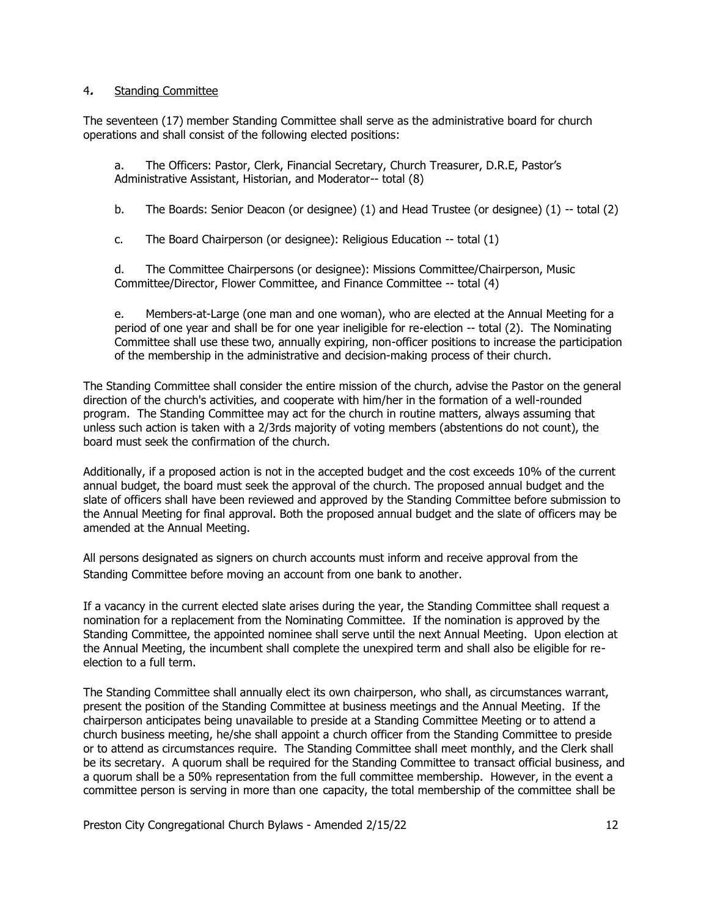#### 4**.** Standing Committee

The seventeen (17) member Standing Committee shall serve as the administrative board for church operations and shall consist of the following elected positions:

a. The Officers: Pastor, Clerk, Financial Secretary, Church Treasurer, D.R.E, Pastor's Administrative Assistant, Historian, and Moderator-- total (8)

b. The Boards: Senior Deacon (or designee) (1) and Head Trustee (or designee) (1) -- total (2)

c. The Board Chairperson (or designee): Religious Education -- total (1)

d. The Committee Chairpersons (or designee): Missions Committee/Chairperson, Music Committee/Director, Flower Committee, and Finance Committee -- total (4)

e. Members-at-Large (one man and one woman), who are elected at the Annual Meeting for a period of one year and shall be for one year ineligible for re-election -- total (2).The Nominating Committee shall use these two, annually expiring, non-officer positions to increase the participation of the membership in the administrative and decision-making process of their church.

The Standing Committee shall consider the entire mission of the church, advise the Pastor on the general direction of the church's activities, and cooperate with him/her in the formation of a well-rounded program. The Standing Committee may act for the church in routine matters, always assuming that unless such action is taken with a 2/3rds majority of voting members (abstentions do not count), the board must seek the confirmation of the church.

Additionally, if a proposed action is not in the accepted budget and the cost exceeds 10% of the current annual budget, the board must seek the approval of the church. The proposed annual budget and the slate of officers shall have been reviewed and approved by the Standing Committee before submission to the Annual Meeting for final approval. Both the proposed annual budget and the slate of officers may be amended at the Annual Meeting.

All persons designated as signers on church accounts must inform and receive approval from the Standing Committee before moving an account from one bank to another.

If a vacancy in the current elected slate arises during the year, the Standing Committee shall request a nomination for a replacement from the Nominating Committee. If the nomination is approved by the Standing Committee, the appointed nominee shall serve until the next Annual Meeting. Upon election at the Annual Meeting, the incumbent shall complete the unexpired term and shall also be eligible for reelection to a full term.

The Standing Committee shall annually elect its own chairperson, who shall, as circumstances warrant, present the position of the Standing Committee at business meetings and the Annual Meeting. If the chairperson anticipates being unavailable to preside at a Standing Committee Meeting or to attend a church business meeting, he/she shall appoint a church officer from the Standing Committee to preside or to attend as circumstances require. The Standing Committee shall meet monthly, and the Clerk shall be its secretary. A quorum shall be required for the Standing Committee to transact official business, and a quorum shall be a 50% representation from the full committee membership. However, in the event a committee person is serving in more than one capacity, the total membership of the committee shall be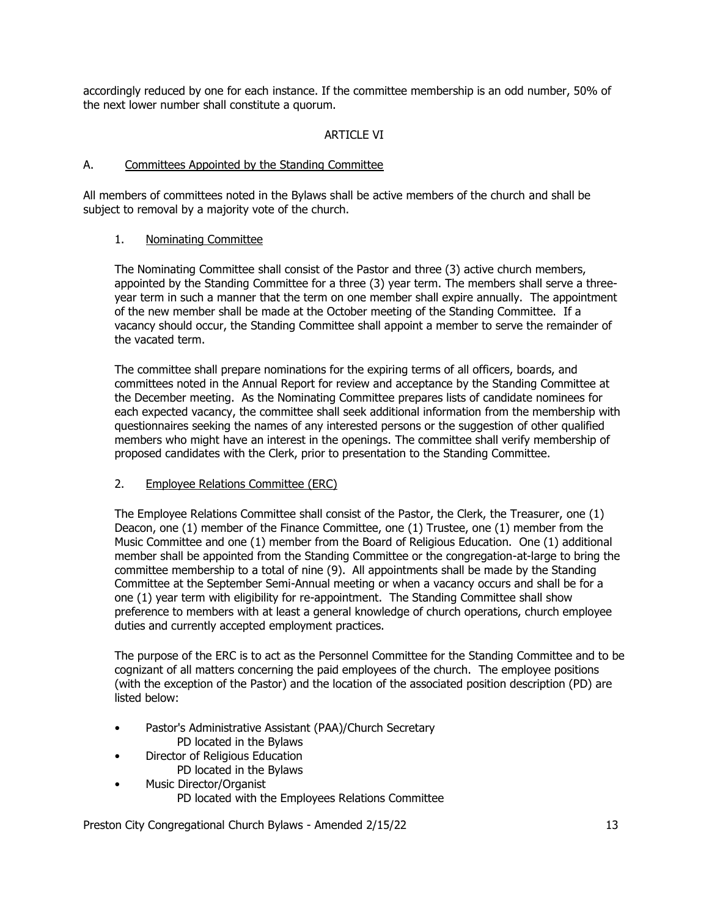accordingly reduced by one for each instance. If the committee membership is an odd number, 50% of the next lower number shall constitute a quorum.

# ARTICLE VI

### A. Committees Appointed by the Standing Committee

All members of committees noted in the Bylaws shall be active members of the church and shall be subject to removal by a majority vote of the church.

### 1. Nominating Committee

The Nominating Committee shall consist of the Pastor and three (3) active church members, appointed by the Standing Committee for a three (3) year term. The members shall serve a threeyear term in such a manner that the term on one member shall expire annually. The appointment of the new member shall be made at the October meeting of the Standing Committee. If a vacancy should occur, the Standing Committee shall appoint a member to serve the remainder of the vacated term.

The committee shall prepare nominations for the expiring terms of all officers, boards, and committees noted in the Annual Report for review and acceptance by the Standing Committee at the December meeting. As the Nominating Committee prepares lists of candidate nominees for each expected vacancy, the committee shall seek additional information from the membership with questionnaires seeking the names of any interested persons or the suggestion of other qualified members who might have an interest in the openings. The committee shall verify membership of proposed candidates with the Clerk, prior to presentation to the Standing Committee.

# 2. Employee Relations Committee (ERC)

The Employee Relations Committee shall consist of the Pastor, the Clerk, the Treasurer, one (1) Deacon, one (1) member of the Finance Committee, one (1) Trustee, one (1) member from the Music Committee and one (1) member from the Board of Religious Education. One (1) additional member shall be appointed from the Standing Committee or the congregation-at-large to bring the committee membership to a total of nine (9).All appointments shall be made by the Standing Committee at the September Semi-Annual meeting or when a vacancy occurs and shall be for a one (1) year term with eligibility for re-appointment. The Standing Committee shall show preference to members with at least a general knowledge of church operations, church employee duties and currently accepted employment practices.

The purpose of the ERC is to act as the Personnel Committee for the Standing Committee and to be cognizant of all matters concerning the paid employees of the church. The employee positions (with the exception of the Pastor) and the location of the associated position description (PD) are listed below:

- Pastor's Administrative Assistant (PAA)/Church Secretary
- PD located in the Bylaws
- Director of Religious Education PD located in the Bylaws
- Music Director/Organist
	- PD located with the Employees Relations Committee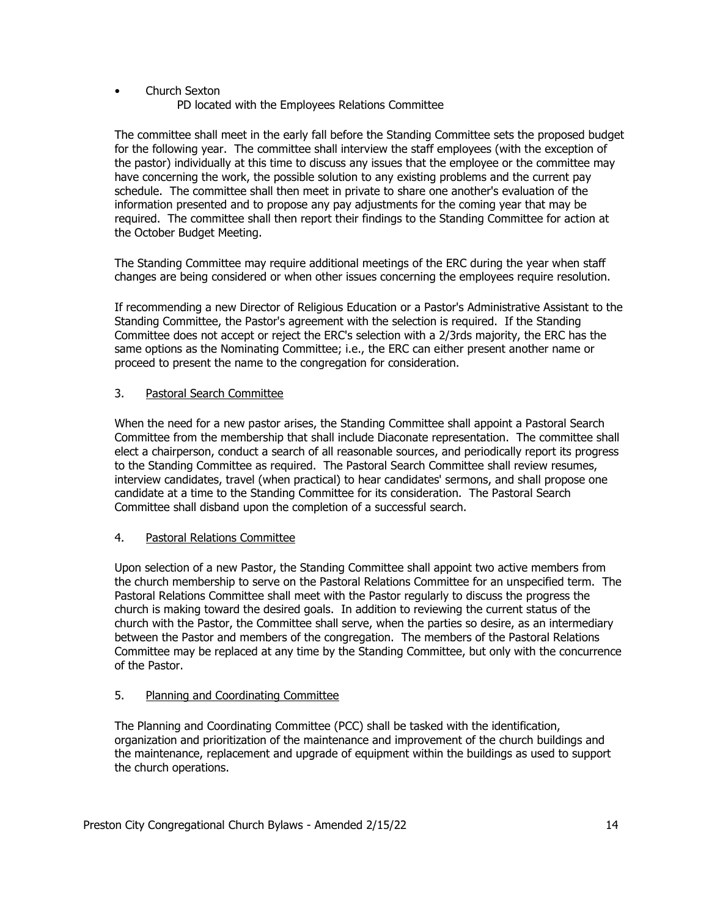# • Church Sexton

PD located with the Employees Relations Committee

The committee shall meet in the early fall before the Standing Committee sets the proposed budget for the following year. The committee shall interview the staff employees (with the exception of the pastor) individually at this time to discuss any issues that the employee or the committee may have concerning the work, the possible solution to any existing problems and the current pay schedule. The committee shall then meet in private to share one another's evaluation of the information presented and to propose any pay adjustments for the coming year that may be required. The committee shall then report their findings to the Standing Committee for action at the October Budget Meeting.

The Standing Committee may require additional meetings of the ERC during the year when staff changes are being considered or when other issues concerning the employees require resolution.

If recommending a new Director of Religious Education or a Pastor's Administrative Assistant to the Standing Committee, the Pastor's agreement with the selection is required. If the Standing Committee does not accept or reject the ERC's selection with a 2/3rds majority, the ERC has the same options as the Nominating Committee; i.e., the ERC can either present another name or proceed to present the name to the congregation for consideration.

# 3. Pastoral Search Committee

When the need for a new pastor arises, the Standing Committee shall appoint a Pastoral Search Committee from the membership that shall include Diaconate representation. The committee shall elect a chairperson, conduct a search of all reasonable sources, and periodically report its progress to the Standing Committee as required. The Pastoral Search Committee shall review resumes, interview candidates, travel (when practical) to hear candidates' sermons, and shall propose one candidate at a time to the Standing Committee for its consideration. The Pastoral Search Committee shall disband upon the completion of a successful search.

# 4. Pastoral Relations Committee

Upon selection of a new Pastor, the Standing Committee shall appoint two active members from the church membership to serve on the Pastoral Relations Committee for an unspecified term. The Pastoral Relations Committee shall meet with the Pastor regularly to discuss the progress the church is making toward the desired goals. In addition to reviewing the current status of the church with the Pastor, the Committee shall serve, when the parties so desire, as an intermediary between the Pastor and members of the congregation. The members of the Pastoral Relations Committee may be replaced at any time by the Standing Committee, but only with the concurrence of the Pastor.

# 5. Planning and Coordinating Committee

The Planning and Coordinating Committee (PCC) shall be tasked with the identification, organization and prioritization of the maintenance and improvement of the church buildings and the maintenance, replacement and upgrade of equipment within the buildings as used to support the church operations.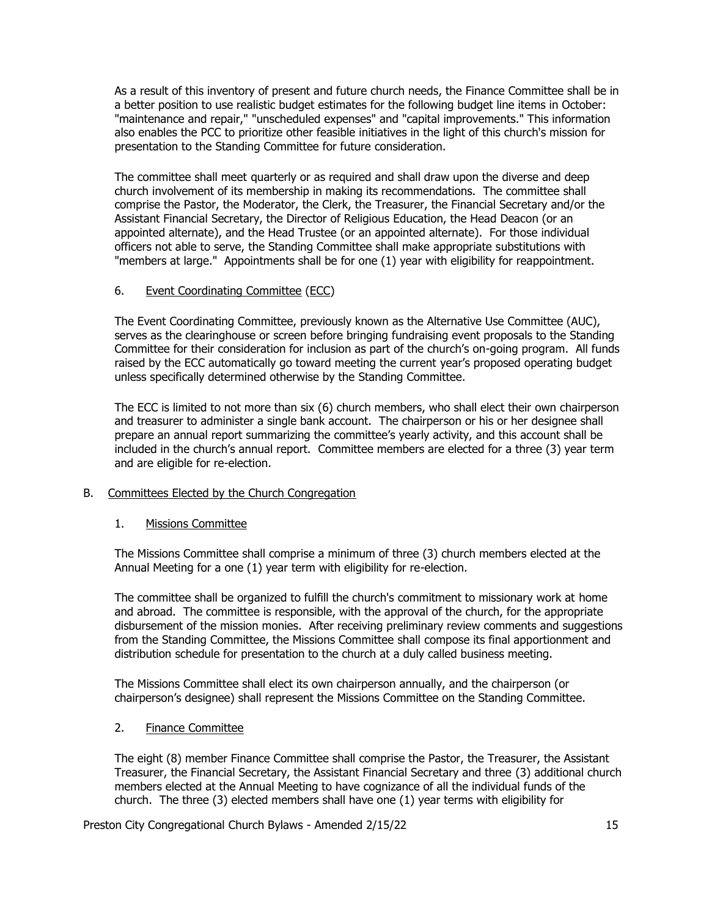As a result of this inventory of present and future church needs, the Finance Committee shall be in a better position to use realistic budget estimates for the following budget line items in October: "maintenance and repair," "unscheduled expenses" and "capital improvements." This information also enables the PCC to prioritize other feasible initiatives in the light of this church's mission for presentation to the Standing Committee for future consideration.

The committee shall meet quarterly or as required and shall draw upon the diverse and deep church involvement of its membership in making its recommendations. The committee shall comprise the Pastor, the Moderator, the Clerk, the Treasurer, the Financial Secretary and/or the Assistant Financial Secretary, the Director of Religious Education, the Head Deacon (or an appointed alternate), and the Head Trustee (or an appointed alternate). For those individual officers not able to serve, the Standing Committee shall make appropriate substitutions with "members at large." Appointments shall be for one (1) year with eligibility for reappointment.

# 6. Event Coordinating Committee (ECC)

The Event Coordinating Committee, previously known as the Alternative Use Committee (AUC), serves as the clearinghouse or screen before bringing fundraising event proposals to the Standing Committee for their consideration for inclusion as part of the church's on-going program. All funds raised by the ECC automatically go toward meeting the current year's proposed operating budget unless specifically determined otherwise by the Standing Committee.

The ECC is limited to not more than six (6) church members, who shall elect their own chairperson and treasurer to administer a single bank account. The chairperson or his or her designee shall prepare an annual report summarizing the committee's yearly activity, and this account shall be included in the church's annual report. Committee members are elected for a three (3) year term and are eligible for re-election.

# B. Committees Elected by the Church Congregation

# 1. Missions Committee

The Missions Committee shall comprise a minimum of three (3) church members elected at the Annual Meeting for a one (1) year term with eligibility for re-election.

The committee shall be organized to fulfill the church's commitment to missionary work at home and abroad. The committee is responsible, with the approval of the church, for the appropriate disbursement of the mission monies. After receiving preliminary review comments and suggestions from the Standing Committee, the Missions Committee shall compose its final apportionment and distribution schedule for presentation to the church at a duly called business meeting.

The Missions Committee shall elect its own chairperson annually, and the chairperson (or chairperson's designee) shall represent the Missions Committee on the Standing Committee.

# 2. Finance Committee

The eight (8) member Finance Committee shall comprise the Pastor, the Treasurer, the Assistant Treasurer, the Financial Secretary, the Assistant Financial Secretary and three (3) additional church members elected at the Annual Meeting to have cognizance of all the individual funds of the church. The three (3) elected members shall have one (1) year terms with eligibility for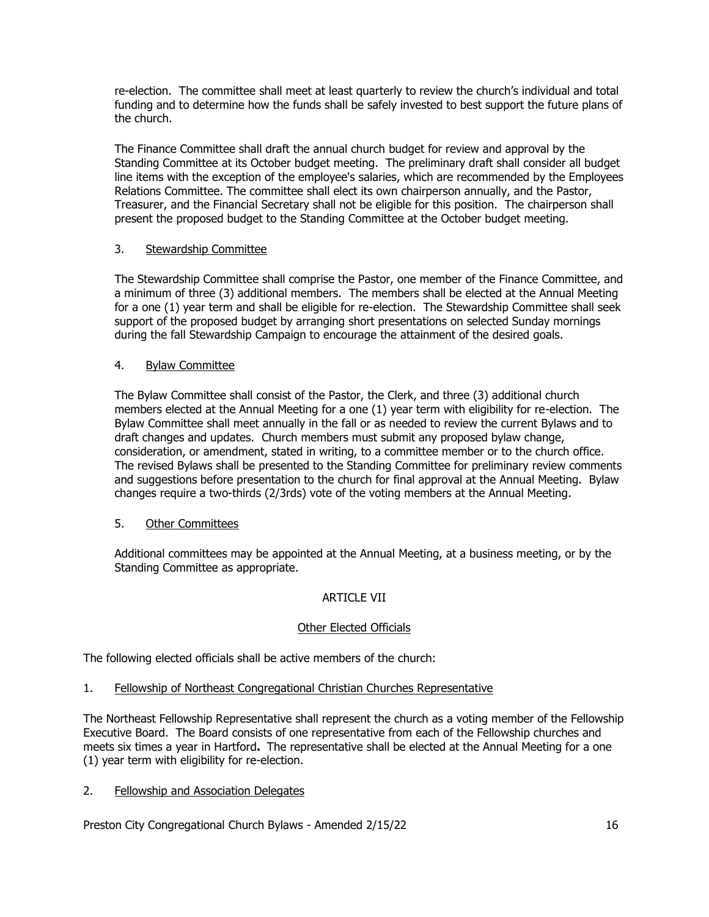re-election. The committee shall meet at least quarterly to review the church's individual and total funding and to determine how the funds shall be safely invested to best support the future plans of the church.

The Finance Committee shall draft the annual church budget for review and approval by the Standing Committee at its October budget meeting. The preliminary draft shall consider all budget line items with the exception of the employee's salaries, which are recommended by the Employees Relations Committee. The committee shall elect its own chairperson annually, and the Pastor, Treasurer, and the Financial Secretary shall not be eligible for this position. The chairperson shall present the proposed budget to the Standing Committee at the October budget meeting.

# 3. Stewardship Committee

The Stewardship Committee shall comprise the Pastor, one member of the Finance Committee, and a minimum of three (3) additional members. The members shall be elected at the Annual Meeting for a one (1) year term and shall be eligible for re-election. The Stewardship Committee shall seek support of the proposed budget by arranging short presentations on selected Sunday mornings during the fall Stewardship Campaign to encourage the attainment of the desired goals.

# 4. Bylaw Committee

The Bylaw Committee shall consist of the Pastor, the Clerk, and three (3) additional church members elected at the Annual Meeting for a one (1) year term with eligibility for re-election. The Bylaw Committee shall meet annually in the fall or as needed to review the current Bylaws and to draft changes and updates. Church members must submit any proposed bylaw change, consideration, or amendment, stated in writing, to a committee member or to the church office. The revised Bylaws shall be presented to the Standing Committee for preliminary review comments and suggestions before presentation to the church for final approval at the Annual Meeting. Bylaw changes require a two-thirds (2/3rds) vote of the voting members at the Annual Meeting.

# 5. Other Committees

Additional committees may be appointed at the Annual Meeting, at a business meeting, or by the Standing Committee as appropriate.

# ARTICLE VII

# Other Elected Officials

The following elected officials shall be active members of the church:

1. Fellowship of Northeast Congregational Christian Churches Representative

The Northeast Fellowship Representative shall represent the church as a voting member of the Fellowship Executive Board. The Board consists of one representative from each of the Fellowship churches and meets six times a year in Hartford**.** The representative shall be elected at the Annual Meeting for a one (1) year term with eligibility for re-election.

# 2. Fellowship and Association Delegates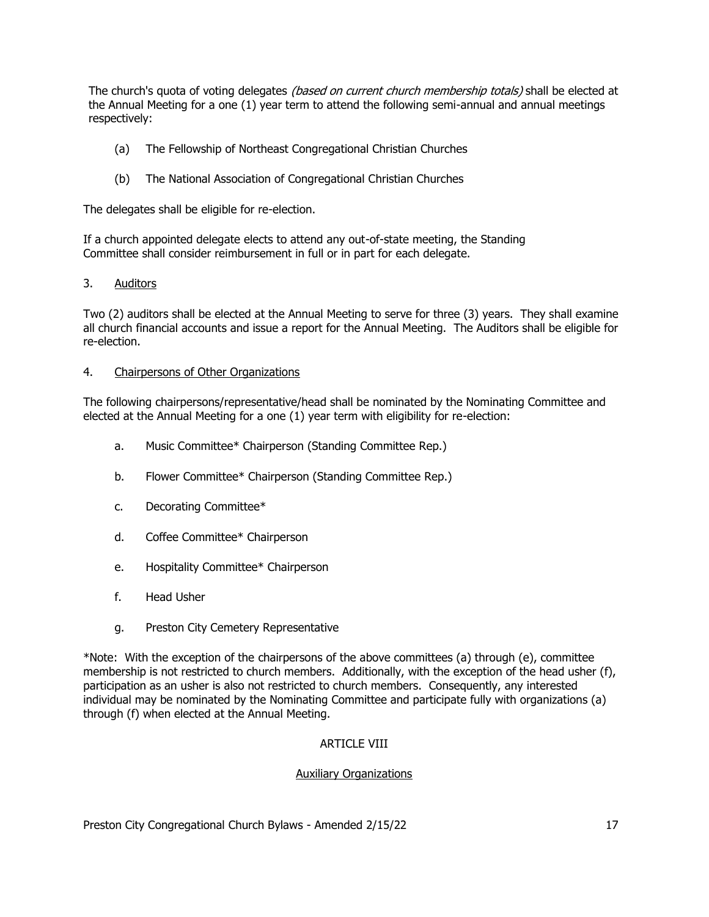The church's quota of voting delegates *(based on current church membership totals)* shall be elected at the Annual Meeting for a one (1) year term to attend the following semi-annual and annual meetings respectively:

- (a) The Fellowship of Northeast Congregational Christian Churches
- (b) The National Association of Congregational Christian Churches

The delegates shall be eligible for re-election.

If a church appointed delegate elects to attend any out-of-state meeting, the Standing Committee shall consider reimbursement in full or in part for each delegate.

# 3. Auditors

Two (2) auditors shall be elected at the Annual Meeting to serve for three (3) years. They shall examine all church financial accounts and issue a report for the Annual Meeting. The Auditors shall be eligible for re-election.

#### 4. Chairpersons of Other Organizations

The following chairpersons/representative/head shall be nominated by the Nominating Committee and elected at the Annual Meeting for a one (1) year term with eligibility for re-election:

- a. Music Committee\* Chairperson (Standing Committee Rep.)
- b. Flower Committee\* Chairperson (Standing Committee Rep.)
- c. Decorating Committee\*
- d. Coffee Committee\* Chairperson
- e. Hospitality Committee\* Chairperson
- f. Head Usher
- g. Preston City Cemetery Representative

\*Note: With the exception of the chairpersons of the above committees (a) through (e), committee membership is not restricted to church members. Additionally, with the exception of the head usher (f), participation as an usher is also not restricted to church members. Consequently, any interested individual may be nominated by the Nominating Committee and participate fully with organizations (a) through (f) when elected at the Annual Meeting.

#### **ARTICLE VIII**

#### Auxiliary Organizations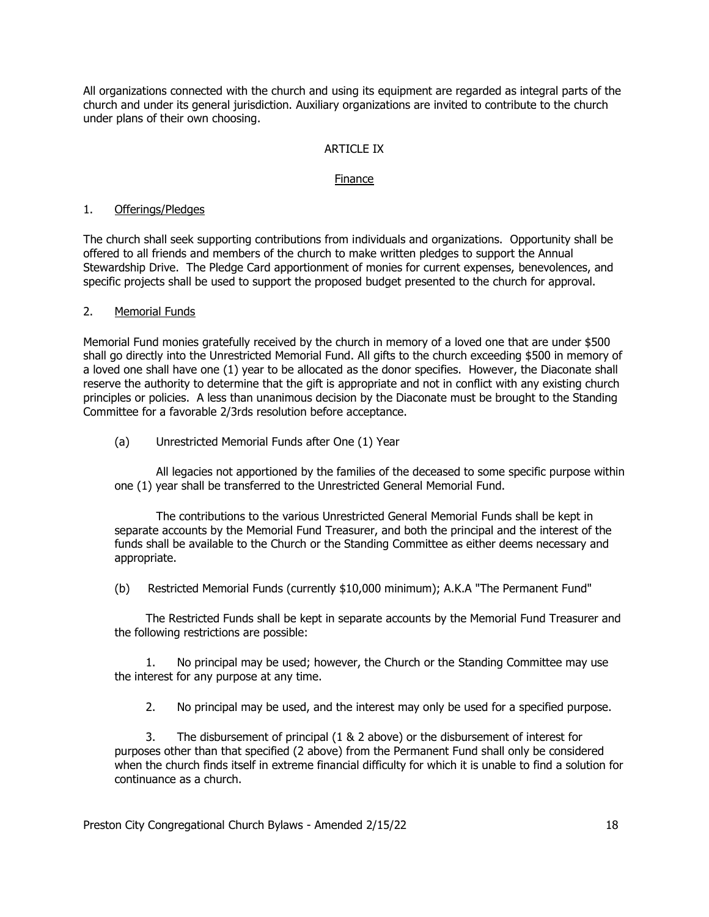All organizations connected with the church and using its equipment are regarded as integral parts of the church and under its general jurisdiction. Auxiliary organizations are invited to contribute to the church under plans of their own choosing.

# ARTICLE IX

#### Finance

#### 1. Offerings/Pledges

The church shall seek supporting contributions from individuals and organizations. Opportunity shall be offered to all friends and members of the church to make written pledges to support the Annual Stewardship Drive. The Pledge Card apportionment of monies for current expenses, benevolences, and specific projects shall be used to support the proposed budget presented to the church for approval.

### 2. Memorial Funds

Memorial Fund monies gratefully received by the church in memory of a loved one that are under \$500 shall go directly into the Unrestricted Memorial Fund. All gifts to the church exceeding \$500 in memory of a loved one shall have one (1) year to be allocated as the donor specifies. However, the Diaconate shall reserve the authority to determine that the gift is appropriate and not in conflict with any existing church principles or policies. A less than unanimous decision by the Diaconate must be brought to the Standing Committee for a favorable 2/3rds resolution before acceptance.

(a) Unrestricted Memorial Funds after One (1) Year

All legacies not apportioned by the families of the deceased to some specific purpose within one (1) year shall be transferred to the Unrestricted General Memorial Fund.

The contributions to the various Unrestricted General Memorial Funds shall be kept in separate accounts by the Memorial Fund Treasurer, and both the principal and the interest of the funds shall be available to the Church or the Standing Committee as either deems necessary and appropriate.

(b) Restricted Memorial Funds (currently \$10,000 minimum); A.K.A "The Permanent Fund"

The Restricted Funds shall be kept in separate accounts by the Memorial Fund Treasurer and the following restrictions are possible:

1. No principal may be used; however, the Church or the Standing Committee may use the interest for any purpose at any time.

2. No principal may be used, and the interest may only be used for a specified purpose.

3. The disbursement of principal (1 & 2 above) or the disbursement of interest for purposes other than that specified (2 above) from the Permanent Fund shall only be considered when the church finds itself in extreme financial difficulty for which it is unable to find a solution for continuance as a church.